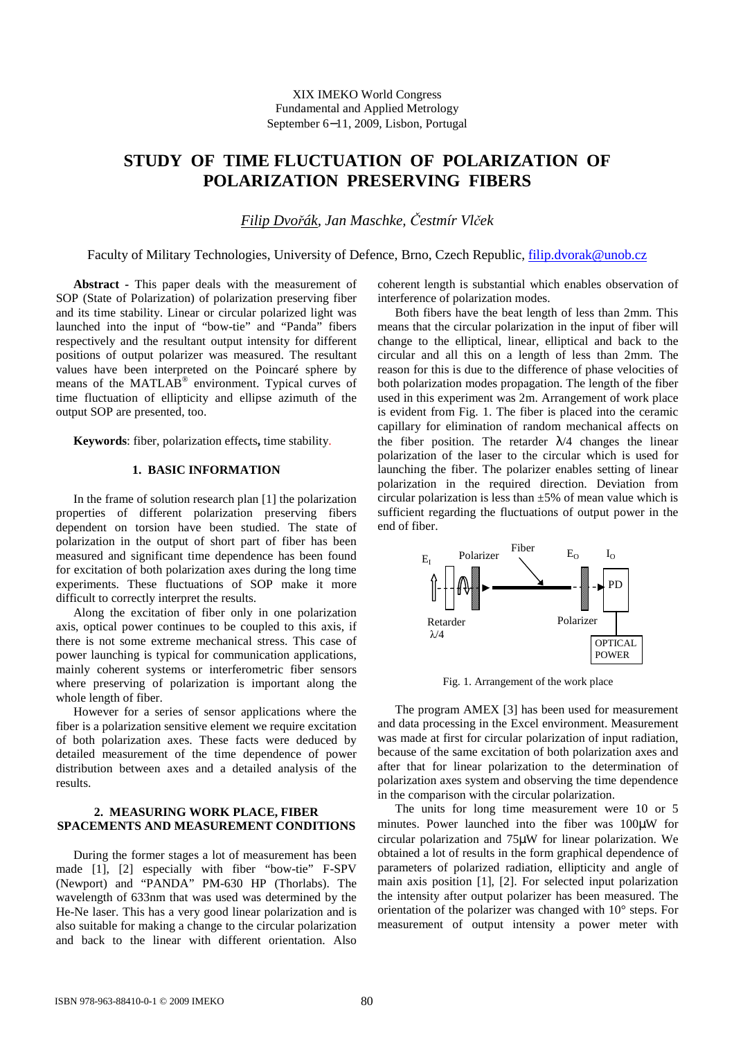# **STUDY OF TIME FLUCTUATION OF POLARIZATION OF POLARIZATION PRESERVING FIBERS**

*Filip Dvo*ř*ák, Jan Maschke,* Č*estmír Vl*č*ek*

Faculty of Military Technologies, University of Defence, Brno, Czech Republic, filip.dvorak@unob.cz

**Abstract -** This paper deals with the measurement of SOP (State of Polarization) of polarization preserving fiber and its time stability. Linear or circular polarized light was launched into the input of "bow-tie" and "Panda" fibers respectively and the resultant output intensity for different positions of output polarizer was measured. The resultant values have been interpreted on the Poincaré sphere by means of the MATLAB<sup>®</sup> environment. Typical curves of time fluctuation of ellipticity and ellipse azimuth of the output SOP are presented, too.

**Keywords**: fiber, polarization effects**,** time stability.

### **1. BASIC INFORMATION**

In the frame of solution research plan [1] the polarization properties of different polarization preserving fibers dependent on torsion have been studied. The state of polarization in the output of short part of fiber has been measured and significant time dependence has been found for excitation of both polarization axes during the long time experiments. These fluctuations of SOP make it more difficult to correctly interpret the results.

Along the excitation of fiber only in one polarization axis, optical power continues to be coupled to this axis, if there is not some extreme mechanical stress. This case of power launching is typical for communication applications, mainly coherent systems or interferometric fiber sensors where preserving of polarization is important along the whole length of fiber.

However for a series of sensor applications where the fiber is a polarization sensitive element we require excitation of both polarization axes. These facts were deduced by detailed measurement of the time dependence of power distribution between axes and a detailed analysis of the results.

#### **2. MEASURING WORK PLACE, FIBER SPACEMENTS AND MEASUREMENT CONDITIONS**

During the former stages a lot of measurement has been made [1], [2] especially with fiber "bow-tie" F-SPV (Newport) and "PANDA" PM-630 HP (Thorlabs). The wavelength of 633nm that was used was determined by the He-Ne laser. This has a very good linear polarization and is also suitable for making a change to the circular polarization and back to the linear with different orientation. Also coherent length is substantial which enables observation of interference of polarization modes.

Both fibers have the beat length of less than 2mm. This means that the circular polarization in the input of fiber will change to the elliptical, linear, elliptical and back to the circular and all this on a length of less than 2mm. The reason for this is due to the difference of phase velocities of both polarization modes propagation. The length of the fiber used in this experiment was 2m. Arrangement of work place is evident from Fig. 1. The fiber is placed into the ceramic capillary for elimination of random mechanical affects on the fiber position. The retarder  $\lambda/4$  changes the linear polarization of the laser to the circular which is used for launching the fiber. The polarizer enables setting of linear polarization in the required direction. Deviation from circular polarization is less than  $\pm 5\%$  of mean value which is sufficient regarding the fluctuations of output power in the end of fiber.



Fig. 1. Arrangement of the work place

The program AMEX [3] has been used for measurement and data processing in the Excel environment. Measurement was made at first for circular polarization of input radiation, because of the same excitation of both polarization axes and after that for linear polarization to the determination of polarization axes system and observing the time dependence in the comparison with the circular polarization.

The units for long time measurement were 10 or 5 minutes. Power launched into the fiber was 100µW for circular polarization and 75µW for linear polarization. We obtained a lot of results in the form graphical dependence of parameters of polarized radiation, ellipticity and angle of main axis position [1], [2]. For selected input polarization the intensity after output polarizer has been measured. The orientation of the polarizer was changed with 10° steps. For measurement of output intensity a power meter with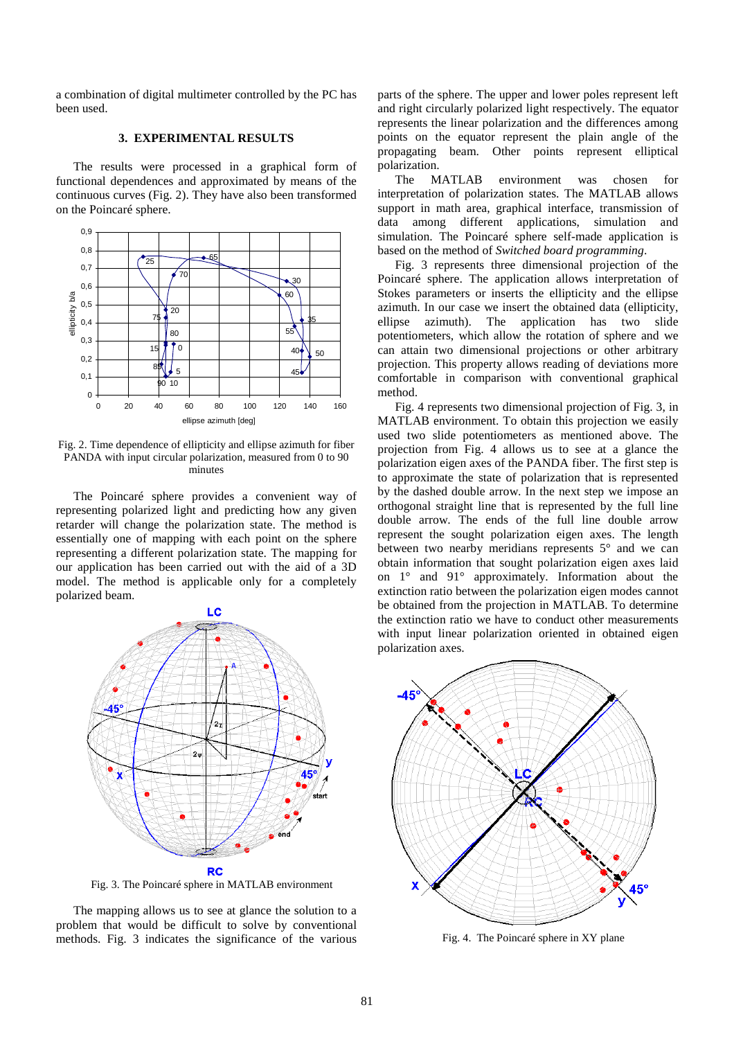a combination of digital multimeter controlled by the PC has been used.

## **3. EXPERIMENTAL RESULTS**

The results were processed in a graphical form of functional dependences and approximated by means of the continuous curves (Fig. 2). They have also been transformed on the Poincaré sphere.



Fig. 2. Time dependence of ellipticity and ellipse azimuth for fiber PANDA with input circular polarization, measured from 0 to 90 minutes

The Poincaré sphere provides a convenient way of representing polarized light and predicting how any given retarder will change the polarization state. The method is essentially one of mapping with each point on the sphere representing a different polarization state. The mapping for our application has been carried out with the aid of a 3D model. The method is applicable only for a completely polarized beam.



Fig. 3. The Poincaré sphere in MATLAB environment

The mapping allows us to see at glance the solution to a problem that would be difficult to solve by conventional methods. Fig. 3 indicates the significance of the various parts of the sphere. The upper and lower poles represent left and right circularly polarized light respectively. The equator represents the linear polarization and the differences among points on the equator represent the plain angle of the propagating beam. Other points represent elliptical polarization.

The MATLAB environment was chosen for interpretation of polarization states. The MATLAB allows support in math area, graphical interface, transmission of data among different applications, simulation and simulation. The Poincaré sphere self-made application is based on the method of *Switched board programming*.

Fig. 3 represents three dimensional projection of the Poincaré sphere. The application allows interpretation of Stokes parameters or inserts the ellipticity and the ellipse azimuth. In our case we insert the obtained data (ellipticity, ellipse azimuth). The application has two slide potentiometers, which allow the rotation of sphere and we can attain two dimensional projections or other arbitrary projection. This property allows reading of deviations more comfortable in comparison with conventional graphical method.

Fig. 4 represents two dimensional projection of Fig. 3, in MATLAB environment. To obtain this projection we easily used two slide potentiometers as mentioned above. The projection from Fig. 4 allows us to see at a glance the polarization eigen axes of the PANDA fiber. The first step is to approximate the state of polarization that is represented by the dashed double arrow. In the next step we impose an orthogonal straight line that is represented by the full line double arrow. The ends of the full line double arrow represent the sought polarization eigen axes. The length between two nearby meridians represents 5° and we can obtain information that sought polarization eigen axes laid on 1° and 91° approximately. Information about the extinction ratio between the polarization eigen modes cannot be obtained from the projection in MATLAB. To determine the extinction ratio we have to conduct other measurements with input linear polarization oriented in obtained eigen polarization axes.



Fig. 4. The Poincaré sphere in XY plane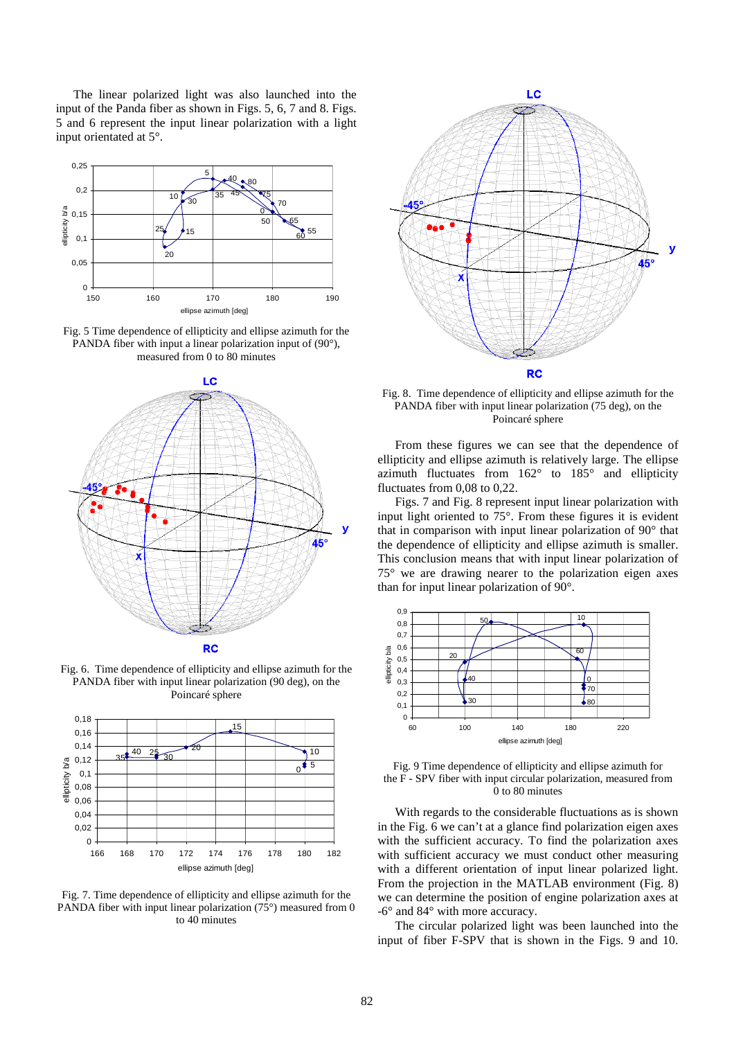The linear polarized light was also launched into the input of the Panda fiber as shown in Figs. 5, 6, 7 and 8. Figs. 5 and 6 represent the input linear polarization with a light input orientated at 5°.



Fig. 5 Time dependence of ellipticity and ellipse azimuth for the PANDA fiber with input a linear polarization input of (90°), measured from 0 to 80 minutes



Fig. 6. Time dependence of ellipticity and ellipse azimuth for the PANDA fiber with input linear polarization (90 deg), on the Poincaré sphere



Fig. 7. Time dependence of ellipticity and ellipse azimuth for the PANDA fiber with input linear polarization (75°) measured from 0 to 40 minutes



Fig. 8. Time dependence of ellipticity and ellipse azimuth for the PANDA fiber with input linear polarization (75 deg), on the Poincaré sphere

From these figures we can see that the dependence of ellipticity and ellipse azimuth is relatively large. The ellipse azimuth fluctuates from 162° to 185° and ellipticity fluctuates from 0,08 to 0,22.

Figs. 7 and Fig. 8 represent input linear polarization with input light oriented to 75°. From these figures it is evident that in comparison with input linear polarization of 90° that the dependence of ellipticity and ellipse azimuth is smaller. This conclusion means that with input linear polarization of 75° we are drawing nearer to the polarization eigen axes than for input linear polarization of 90°.





With regards to the considerable fluctuations as is shown in the Fig. 6 we can't at a glance find polarization eigen axes with the sufficient accuracy. To find the polarization axes with sufficient accuracy we must conduct other measuring with a different orientation of input linear polarized light. From the projection in the MATLAB environment (Fig. 8) we can determine the position of engine polarization axes at -6° and 84° with more accuracy.

The circular polarized light was been launched into the input of fiber F-SPV that is shown in the Figs. 9 and 10.